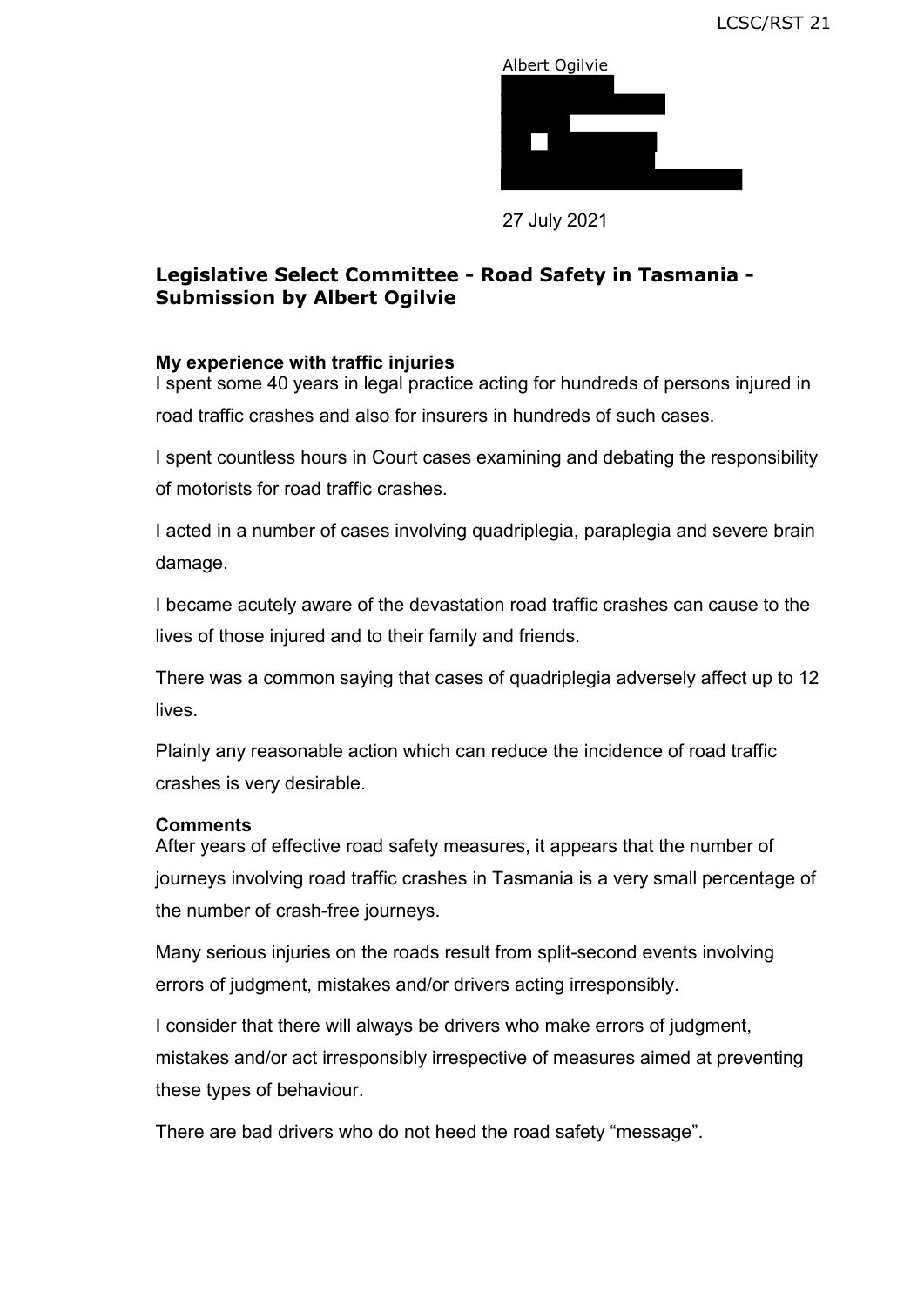

27 July 2021

# **Legislative Select Committee - Road Safety in Tasmania - Submission by Albert Ogilvie**

# **My experience with traffic injuries**

I spent some 40 years in legal practice acting for hundreds of persons injured in road traffic crashes and also for insurers in hundreds of such cases.

I spent countless hours in Court cases examining and debating the responsibility of motorists for road traffic crashes.

I acted in a number of cases involving quadriplegia, paraplegia and severe brain damage.

I became acutely aware of the devastation road traffic crashes can cause to the lives of those injured and to their family and friends.

There was a common saying that cases of quadriplegia adversely affect up to 12 lives.

Plainly any reasonable action which can reduce the incidence of road traffic crashes is very desirable.

#### **Comments**

After years of effective road safety measures, it appears that the number of journeys involving road traffic crashes in Tasmania is a very small percentage of the number of crash-free journeys.

 errors of judgment, mistakes and/or drivers acting irresponsibly. Many serious injuries on the roads result from split-second events involving

 mistakes and/or act irresponsibly irrespective of measures aimed at preventing I consider that there will always be drivers who make errors of judgment, these types of behaviour.

There are bad drivers who do not heed the road safety "message".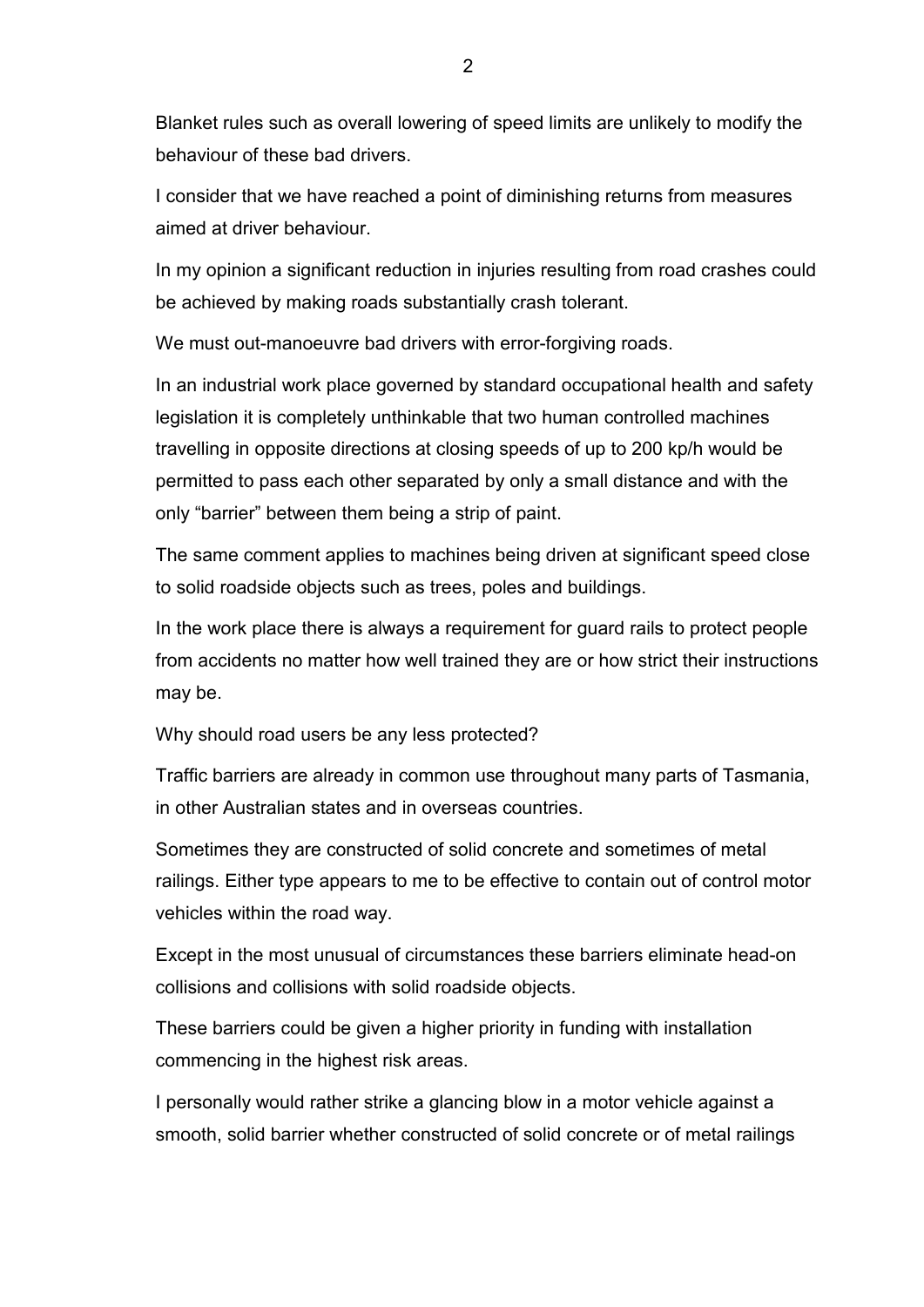Blanket rules such as overall lowering of speed limits are unlikely to modify the behaviour of these bad drivers.

 I consider that we have reached a point of diminishing returns from measures aimed at driver behaviour.

In my opinion a significant reduction in injuries resulting from road crashes could be achieved by making roads substantially crash tolerant.

We must out-manoeuvre bad drivers with error-forgiving roads.

In an industrial work place governed by standard occupational health and safety legislation it is completely unthinkable that two human controlled machines travelling in opposite directions at closing speeds of up to 200 kp/h would be permitted to pass each other separated by only a small distance and with the only "barrier" between them being a strip of paint.

The same comment applies to machines being driven at significant speed close to solid roadside objects such as trees, poles and buildings.

In the work place there is always a requirement for guard rails to protect people from accidents no matter how well trained they are or how strict their instructions may be.

Why should road users be any less protected?

 Traffic barriers are already in common use throughout many parts of Tasmania, in other Australian states and in overseas countries.

 Sometimes they are constructed of solid concrete and sometimes of metal railings. Either type appears to me to be effective to contain out of control motor vehicles within the road way.

Except in the most unusual of circumstances these barriers eliminate head-on collisions and collisions with solid roadside objects.

These barriers could be given a higher priority in funding with installation commencing in the highest risk areas.

I personally would rather strike a glancing blow in a motor vehicle against a smooth, solid barrier whether constructed of solid concrete or of metal railings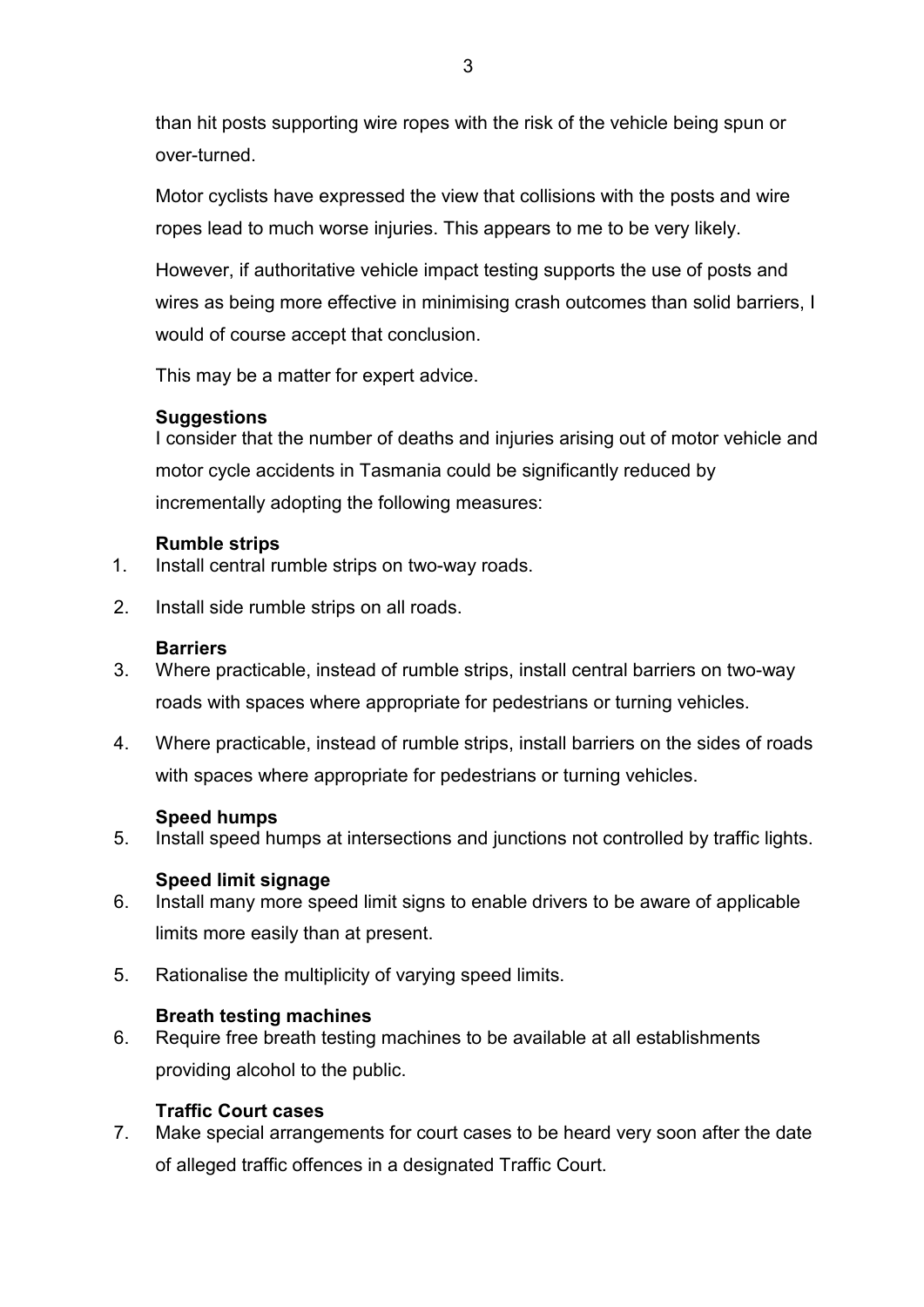than hit posts supporting wire ropes with the risk of the vehicle being spun or over-turned.

 ropes lead to much worse injuries. This appears to me to be very likely. Motor cyclists have expressed the view that collisions with the posts and wire

However, if authoritative vehicle impact testing supports the use of posts and wires as being more effective in minimising crash outcomes than solid barriers, I would of course accept that conclusion.

This may be a matter for expert advice.

# **Suggestions**

 I consider that the number of deaths and injuries arising out of motor vehicle and  incrementally adopting the following measures: motor cycle accidents in Tasmania could be significantly reduced by

# **Rumble strips**

- 1. Install central rumble strips on two-way roads. 2. Install side rumble strips on all roads.
- 

### **Barriers**

- 3. Where practicable, instead of rumble strips, install central barriers on two-way roads with spaces where appropriate for pedestrians or turning vehicles.
- 4. Where practicable, instead of rumble strips, install barriers on the sides of roads with spaces where appropriate for pedestrians or turning vehicles.

#### **Speed humps**

5. Install speed humps at intersections and junctions not controlled by traffic lights.

#### **Speed limit signage**

- 6. Install many more speed limit signs to enable drivers to be aware of applicable limits more easily than at present.
- 5. Rationalise the multiplicity of varying speed limits.

#### **Breath testing machines**

6. Require free breath testing machines to be available at all establishments providing alcohol to the public.

#### **Traffic Court cases**

7. Make special arrangements for court cases to be heard very soon after the date of alleged traffic offences in a designated Traffic Court.